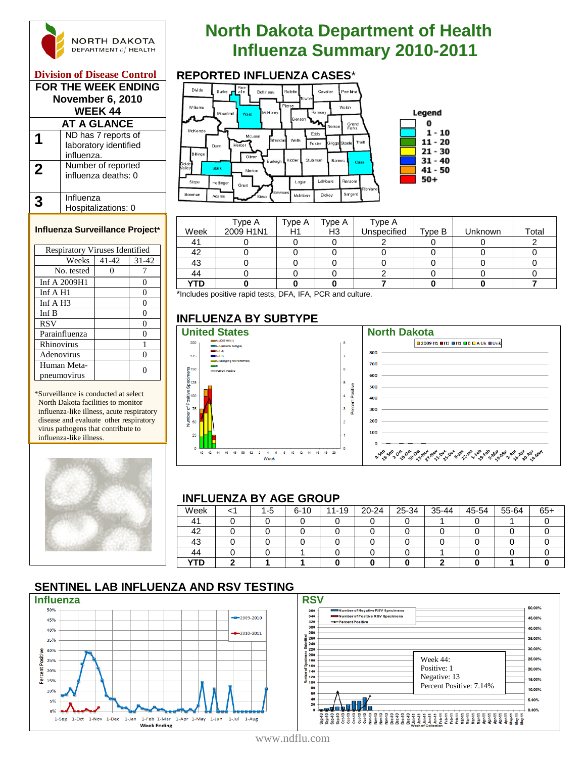

#### **Division of Disease Control**

| FOR THE WEEK ENDING<br><b>November 6, 2010</b><br><b>WEEK 44</b> |                                                            |  |  |  |  |  |  |
|------------------------------------------------------------------|------------------------------------------------------------|--|--|--|--|--|--|
|                                                                  | <b>AT A GLANCE</b>                                         |  |  |  |  |  |  |
|                                                                  | ND has 7 reports of<br>laboratory identified<br>influenza. |  |  |  |  |  |  |
| $\mathbf 2$                                                      | Number of reported<br>influenza deaths: 0                  |  |  |  |  |  |  |
|                                                                  | Influenza<br>Hospitalizations: 0                           |  |  |  |  |  |  |

#### **Influenza Surveillance Project\***

| <b>Respiratory Viruses Identified</b> |       |           |  |  |  |  |  |
|---------------------------------------|-------|-----------|--|--|--|--|--|
| Weeks                                 | 41-42 | $31 - 42$ |  |  |  |  |  |
| No. tested                            |       |           |  |  |  |  |  |
| Inf A 2009H1                          |       | 0         |  |  |  |  |  |
| Inf $A$ H <sub>1</sub>                |       | 0         |  |  |  |  |  |
| Inf $A$ H <sub>3</sub>                |       | 0         |  |  |  |  |  |
| Inf B                                 |       | 0         |  |  |  |  |  |
| <b>RSV</b>                            |       | 0         |  |  |  |  |  |
| Parainfluenza                         |       | 0         |  |  |  |  |  |
| Rhinovirus                            |       |           |  |  |  |  |  |
| Adenovirus                            |       |           |  |  |  |  |  |
| Human Meta-                           |       |           |  |  |  |  |  |
| pneumovirus                           |       |           |  |  |  |  |  |

\*Surveillance is conducted at select North Dakota facilities to monitor influenza-like illness, acute respiratory disease and evaluate other respiratory virus pathogens that contribute to influenza-like illness.



# **North Dakota Department of Health INGRTH DAKOTA**<br> **Influenza Summary 2010-2011**<br> **Influenza Cases**



|      | Type A    | Type A | Type A         | Type A      |        |         |       |
|------|-----------|--------|----------------|-------------|--------|---------|-------|
| Week | 2009 H1N1 | H1     | H <sub>3</sub> | Unspecified | Type B | Unknown | Total |
|      |           |        |                |             |        |         |       |
| 42   |           |        |                |             |        |         |       |
| 43   |           |        |                |             |        |         |       |
| 44   |           |        |                |             |        |         |       |
| YTD  |           |        |                |             |        |         |       |

\*Includes positive rapid tests, DFA, IFA, PCR and culture.

### **INFLUENZA BY SUBTYPE**

200

175

 $\frac{6}{5}$ 150

ូត្រូ<br>ភូមិ<br>ភូមិ

 $\frac{8}{3}$ 100

 $\overline{6}$  75



#### **INFLUENZA BY AGE GROUP**

| Week       |  | 1-5 | $6 - 10$ | $11 - 19$ | $20 - 24$ | 25-34 | 35-44 | 45-54 | 55-64 | $65+$ |
|------------|--|-----|----------|-----------|-----------|-------|-------|-------|-------|-------|
|            |  |     |          |           |           |       |       |       |       |       |
| 42         |  |     |          |           |           |       |       |       |       |       |
| 43         |  |     |          |           |           |       |       |       |       |       |
| 44         |  |     |          |           |           |       |       |       |       |       |
| <b>YTD</b> |  |     |          |           |           |       |       |       |       |       |

60.00%

46.00%

40.00%

35.00%

30.00% 26.00% 20,00%

15.00%

10.00%

5,00%

0.00%

### **SENTINEL LAB INFLUENZA AND RSV TESTING**